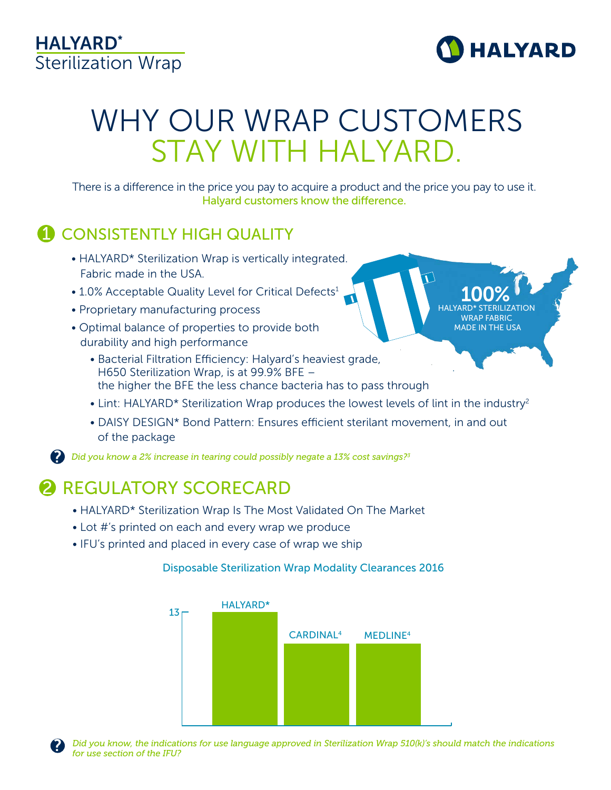### HALYARD\* Sterilization Wrap



100% HALYARD\* STERILIZATION WRAP FABRIC MADE IN THE USA

# WHY OUR WRAP CUSTOMERS STAY WITH HALYARD.

There is a difference in the price you pay to acquire a product and the price you pay to use it. Halyard customers know the difference.

### **1** CONSISTENTLY HIGH QUALITY

- HALYARD\* Sterilization Wrap is vertically integrated. Fabric made in the USA.
- 1.0% Acceptable Quality Level for Critical Defects<sup>1</sup>
- Proprietary manufacturing process
- Optimal balance of properties to provide both durability and high performance
	- Bacterial Filtration Efficiency: Halyard's heaviest grade, H650 Sterilization Wrap, is at 99.9% BFE – the higher the BFE the less chance bacteria has to pass through
	- Lint: HALYARD\* Sterilization Wrap produces the lowest levels of lint in the industry<sup>2</sup>
	- DAISY DESIGN\* Bond Pattern: Ensures efficient sterilant movement, in and out of the package

*Did you know a 2% increase in tearing could possibly negate a 13% cost savings?3*

## 2 REGULATORY SCORECARD

- HALYARD\* Sterilization Wrap Is The Most Validated On The Market
- Lot #'s printed on each and every wrap we produce
- IFU's printed and placed in every case of wrap we ship

### Disposable Sterilization Wrap Modality Clearances 2016



?

?

*Did you know, the indications for use language approved in Sterilization Wrap 510(k)'s should match the indications for use section of the IFU?*